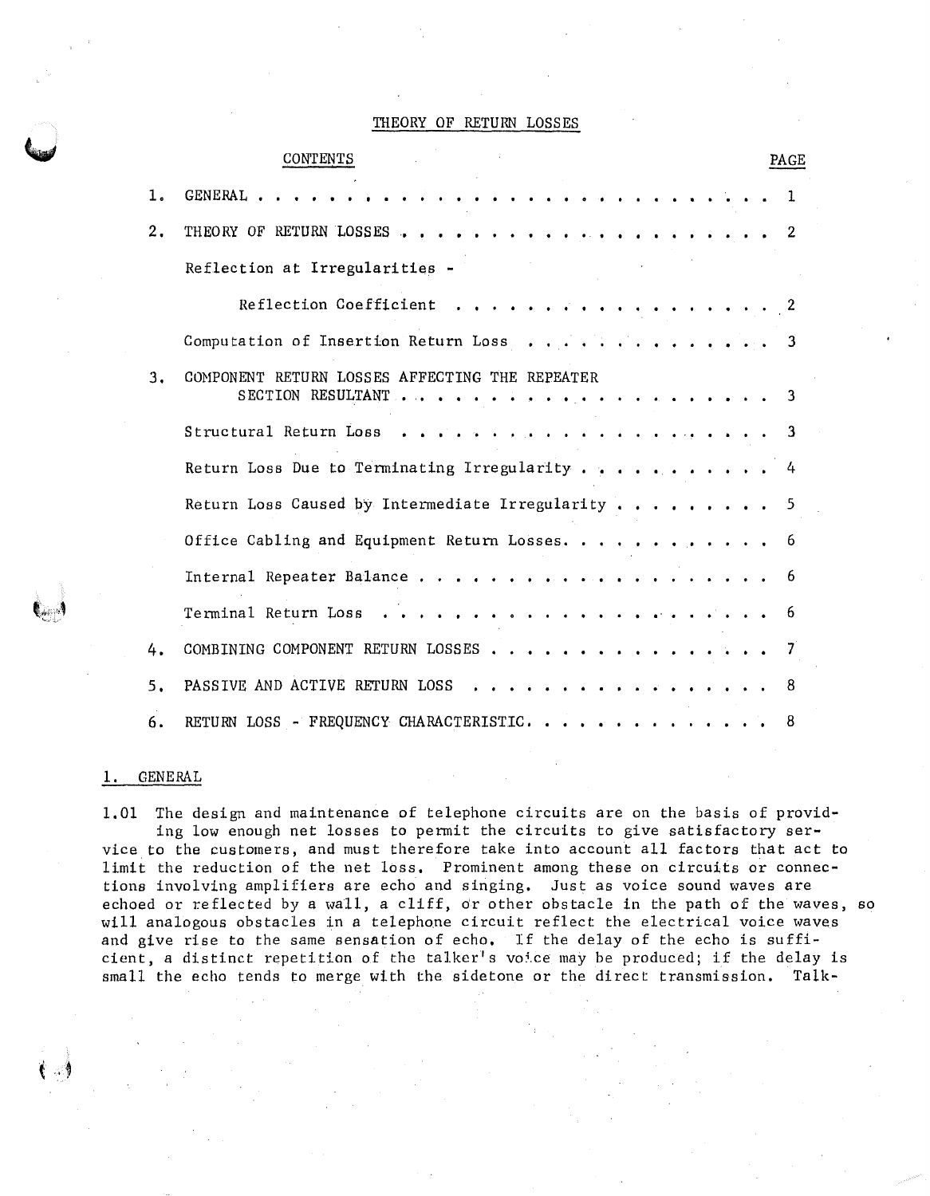## THEORY OF RETURN LOSSES

# CONTENTS 1. GENERAL . . . . . . . . 2. THEORY OF RETURN LOSSES , , , , , , , , , , , , Reflection at Irregularities - Reflection Coefficient Computation of Insertion Return Loss 3, COMPONENT RETURN LOSSES AFFECTING THE REPEATER SECTION RESULTANT . . . . . . . . . . . . . . Structural Return Loss Return Loss Due to Terminating Irregularity  $\cdots$ , ... Return Loss Caused by Intermediate Irregularity  $\cdots$ , .... Office Cabling and Equipment Return Losses. . . . . . . . . . . . . . . . . . . . . Internal Repeater Balance . . . . . . . Terminal Return Loss . . . . . . . . . . . . 4. COMBINING COMPONENT RETURN LOSSES . . . . . . . . 5. PASSIVE AND ACTIVE RETURN LOSS 6. RETURN LOSS - FREQUENCY CHARACTERISTIC. . . . . . . . PAGE 1 2 2 3 3 3 4 5 6 6 6 7 8 8

## 1. GENERAL

.\_,

1,01 The design and maintenance of telephone circuits are on the basis of providing low enough net losses to pennit the circuits to give satisfactory service to the customers, and must therefore take into account all factors that act to limit the reduction of the net loss, Prominent among these on circuits or connections involving amplifiers are echo and singing, Just as voice sound waves are echoed or reflected by a wall, a cliff, or other obstacle in the path of the waves, so will analogous obstacles in a telephone circuit reflect the electrical voice waves and give rise to the same sensation of echo, If the delay of the echo is sufficient, a distinct repetition of the talker's voice may be produced; if the delay is small the echo tends to merge with the sidetone or the direct transmission, Talk-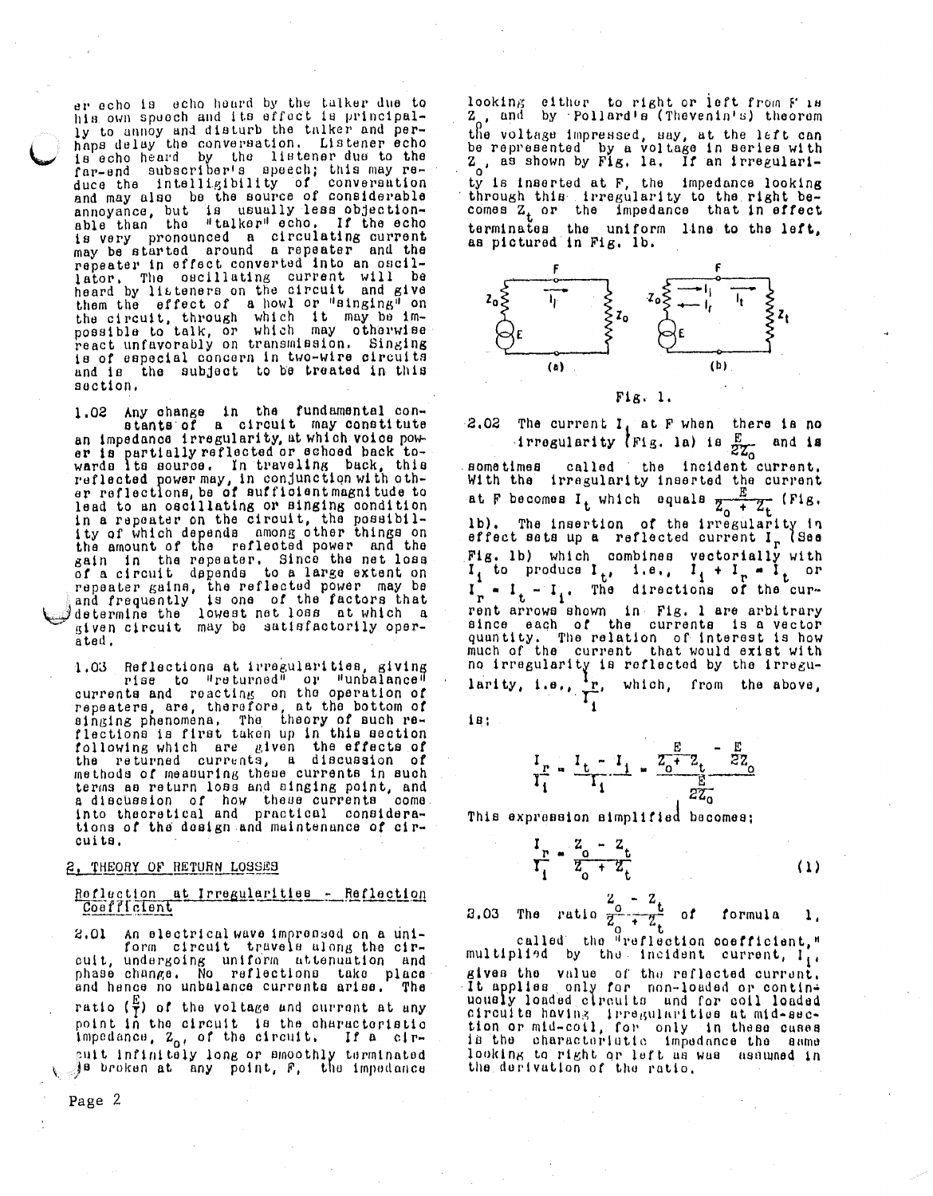er echo is echo heard by the talker due to his own speech and its effect is principally to annoy and disturb the talker and perhaps delay the conversation. Listener echo<br>is echo heard by the listener due to the far-end subscriber's speech; this may re-<br>duce the intelligibility of conversation<br>and may also be the source of considerable annoyance, but is usually less objection-<br>able than the "talker" echo. If the echo is very pronounced a circulating current<br>may be started around a repeater and the repeater in effect converted into an oscillator. The oscillating current will be<br>heard by litteners on the circuit and give<br>them the effect of a howl or "singing" on the circuit, through which it may be impossible to talk, or which may otherwise is of especial concern in two-wire circuits and is the subject to be treated in this saction.

1.02 Any change in the fundamental con-<br>stants of a circuit may constitute<br>an impedance irregularity, at which voice power is partially reflected or schoed back to-<br>wards its source. In traveling back, this<br>reflected power may, in conjunction with other<br>reflections, be of sufficient magnitude to lead to an oscillating or singing condition in a repeater on the circuit, the possibil-<br>ity of which depends among other things on the amount of the reflected power and the gain in the repeater. Since the net loss of a circuit depends to a large extent on repeater gains, the reflected power may be and frequently is one of the factors that<br>determine the lowest net loss at which a<br>given circuit may be satisfactorily operated.

Reflections at irregularities, giving<br>rise to "returned" or "unbalance" 1.03 currents and reacting on the operation of<br>repeaters, are, therefore, at the bottom of<br>singing phenomena, The theory of such reflections is first taken up in this section following which are given the effects of<br>the returned currents, a discussion of methods of measuring these currents in such terms as return loss and singing point, and a discussion of how these currents come.<br>into theoretical and practical considerations of the design and maintenance of circuits.

### 2. THEORY OF RETURN LOSSES

### Reflection at Irregularities - Reflection Coefficient

2.01 An electrical wave impressed on a uniform circuit travels along the circuit, undergoing uniform attenuation and phase change. No reflections take place and hence no unbalance currents arise. The ratio  $(\frac{E}{I})$  of the voltage and current at any point in the circuit is the characteristic<br>impedance, Z<sub>o!</sub> of the circuit, If a cirpuit infinitely long or smoothly terminated<br>Je broken at any point, F, the impedance

Page 2

looking either to right or left from F 18<br>Z, and by Pollard's (Thevenin's) theorem<br>the voltage impressed, say, at the left can<br>be represented by a voltage in series with<br>Z, as shown by Fig. la. If an irregularity is inserted at F, the impedance looking<br>through this irregularity to the right be-<br>comes Z or the impedance that in effect terminates the uniform line to the left, as pictured in Fig. 1b.



### $F1g. 1.$

2.02 The current  $I_i$  at F when there is no The current  $\frac{1}{1}$  av f music  $\frac{E}{ZZ_0}$  $-$  and is called the incident current. aometimes With the irregularity inserted the current at F becomes  $I_t$  which equals  $\frac{E}{Z_0 + Z_t}$  (Fig. 1b). The insertion of the irregularity in effect sats up a reflected current  $I_r$  (See Fig. 1b) which combines vectorially with<br>  $I_1$  to produce  $I_t$ , i.e.,  $I_1 + I_r = I_t$  or<br>  $I_r = I_t - I_i$ . The directions of the current arrows shown in Fig. 1 are arbitrary<br>since each of the currents is a vector quantity. The relation of interest is how<br>much of the current that would exist with no irregularity is reflected by the irregu-<br>larity, i.e.,  $\frac{1}{T_1}$ , which, from the above,

 $18:$ 

Ι

$$
\frac{I_r}{I_1} = \frac{I_t - I_1}{I_1} = \frac{Z_0 + Z_t}{Z_0 + Z_0}
$$

This expression simplified becomes;

$$
\frac{I_{\rm P}}{I_{\rm 1}} = \frac{Z_{\rm o} - Z_{\rm t}}{Z_{\rm o} + Z_{\rm t}} \tag{1}
$$

3.03 The ratio 
$$
\frac{2}{2} \div \frac{2}{2} \div 0
$$
 formula 1.

called the "reflection coefficient," multiplied by the incident current,  $I_1$ , gives the value of the reflected current. It applies only for non-loaded or continuously loaded clroults und for coil loaded circuite having irregularities at mid-sec-<br>tion or mid-coil, for only in these cases<br>is the characteristic impedance the same looking to right or left as was assumed in the derivation of the ratio.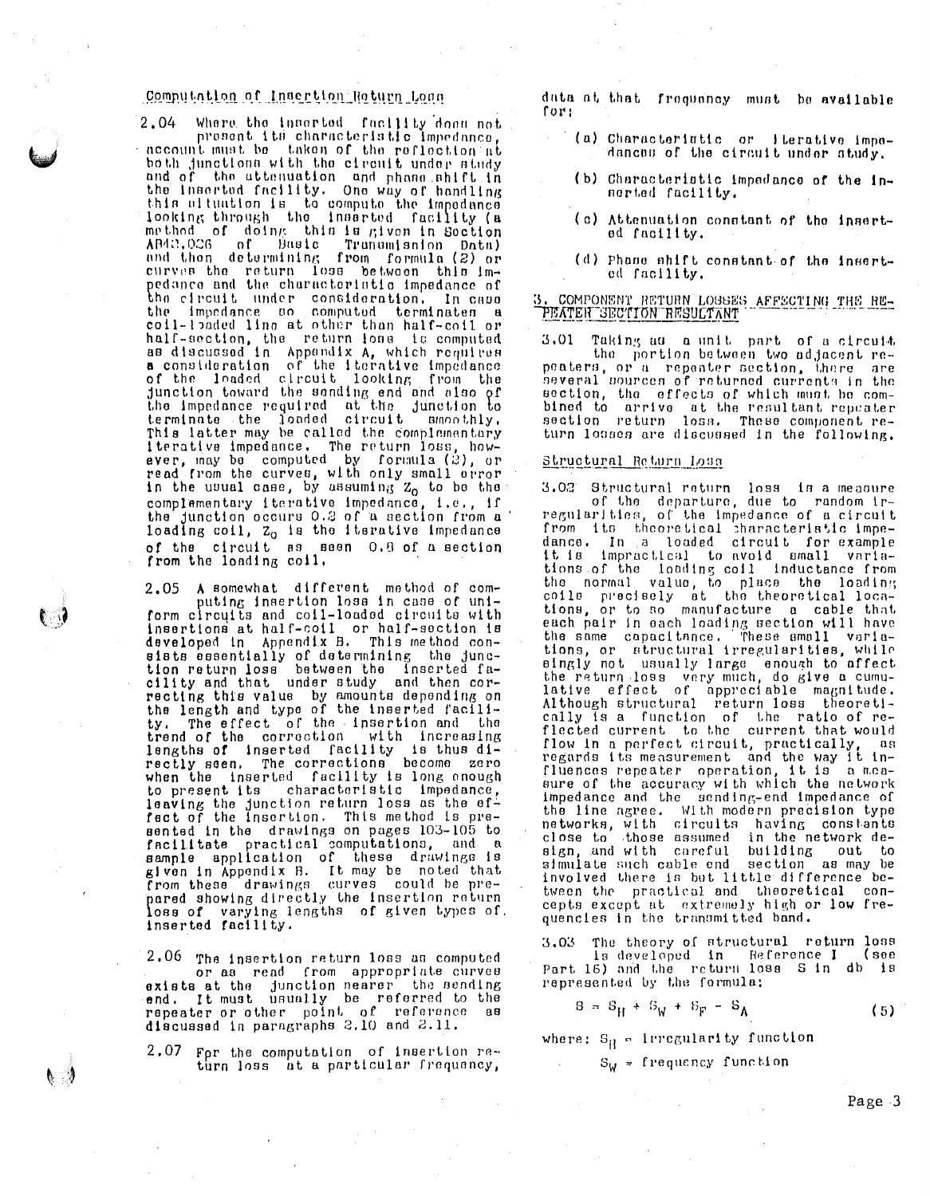# Computation of Insertion Roturn Long

2,04 Where the inserted facility doom not present its characteristic impedance. account must be taken of the reflection at both junctions with the circuit under study<br>and of the attenuation and phase shift in<br>the inserted facility. One way of handling this ultuation is to compute the impedance<br>looking through the inserted facility (a method of doing this is given in Soction AB42,026 of Basic Truncesshop Data)<br>and then determining from formula (2) or<br>curves the return loss between this impedance and the characteristic impedance of the circuit under consideration. In case coil-loaded line at other than half-coil or coil-the the state other than nait-coil or<br>half-section, the return loss is computed<br>as discussed in Appendix A, which requires<br>a consideration of the iterative impedance<br>of the leaded circuit looking from the<br>junction tow terminate the found circuit showing.<br>This latter may be called the complementary<br>iterative impedance. The return loss, how-<br>ever, may be computed by formula (2), or<br>read from the curves, with only small orror<br>in the usual complementary iterative impedance, i.e., if<br>the junction occurs 0.2 of a section from a loading coil,  $z_0$  is the iterative impedance of the circuit as seen 0.8 of a section from the loading coil.

A somewhat different method of com-2,05 puting insertion loss in case of uniform circuits and coil-loaded circuits with<br>insertions at half-coil or half-section is<br>developed in Appendix B. This method consists essentially of determining the junc-<br>tion return loss between the inserted fa-<br>cility and that, under study and then corentity and the value by amounts depending on<br>the length and type of the inserted facili-<br>ty. The effect of the insertion and the<br>trend of the correction with increasing<br>lengths of inserted facility is thus di-<br>rectly seen. when the inserted facility is long enough to present its characteristic impedance,<br>leaving the junction return loss as the ef-<br>fect of the insertion. This method is presented in the drawings on pages 103-105 to facilitate practical computations, and a<br>sample application of these drawings is<br>given in Appendix B. It may be noted that<br>from these drawings curves could be prepared showing directly the insertion return<br>loss of varying lengths of given types of,<br>inserted facility.

2.06 The insertion return loss as computed or as read from appropriate curves exists at the junction nearer the sending<br>end. It must usually be referred to the<br>repeater or other point of reference as discussed in paragraphs 2.10 and 2.11.

For the computation of insertion re-2.07 turn loss at a particular frequency,

≬ ¦

data at that frequency must be available for:

- (a) Characteriatic or lierative impedences of the circuit under study.
- (b) Characteristic impedance of the innerted facility.
- (c) Attenuation constant of the inserted facility.
- (d) Phase shift constant of the inserted facility.

### 3. COMPONENT RETURN LOSSES AFFECTING THE RE-PEATER SECTION RESULTANT

3.01 Taking as a unit part of a circuit the portion between two adjacent repeaters, or a repeater section, there are several sources of returned currents in the section, the effects of which must be combined to arrive at the resultant repeater<br>section return loss. These component return losses are discussed in the following.

#### Structural Return Loss

3.02 Structural return loss is a measure<br>of the departure, due to random ir-<br>regularities, of the impedance of a circuit from its theoretical characteristic impe-<br>dance, In a loaded circuit for example it is impractical to avoid small variations of the loading coll inductance from the normal value, to place the loading<br>coils precisely at the theoretical locations, or to so manufacture a cable that each pair in each loading section will have<br>the same capacitance. These small varia-<br>tions, or structural irregularities, while singly not usually large enough to affect<br>the return loss very much, do give a cumu-<br>lative effect of appreciable magnitude.<br>Although structural return loss theoretically is a function of the ratio of re-<br>flected current to the current that would flow in a perfect circuit, practically, as<br>regards its measurement and the way it in-<br>fluences repeater operation, it is a measure of the accuracy with which the network Impedance and the sending-end impedance of<br>the line agree. With modern precision type<br>networks, with circuits having constants<br>close to those assumed in the network de-<br>sign and with careful building out to sign, and with careful building out to<br>simulate such cable end section as may be involved there is but little difference between the practical and theoretical concepts except at extremely high or low fre-<br>quencies in the transmitted band.

The theory of structural return loss  $3,03$ is developed in Reference I (see Part 16) and the return loss S in db is represented by the formula:

$$
B = S_H + S_W + S_F - S_A \tag{5}
$$

where:  $S_H = \text{Irregularity function}$ 

 $S_U = frequency$  frequency function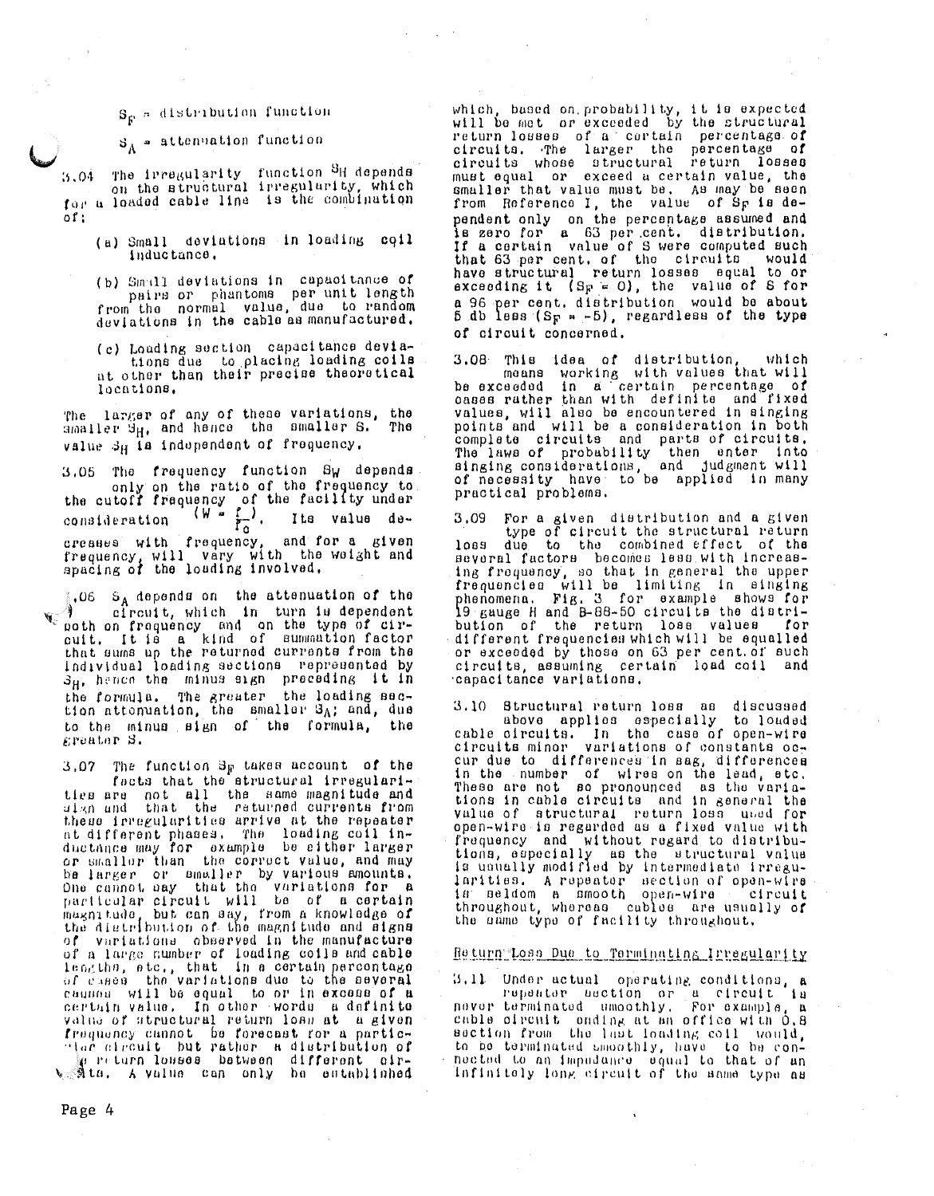# $S_{\mathcal{P}}$  = distribution function

 $S_A$  = attenuation function

The irregularity function <sup>S</sup>H depends<br>on the structural irregularity, which  $3.04$ for a loaded cable line is the combination  $of:$ 

- (a) Small deviations in loading coil inductance.
- (b) Small deviations in capacitance of pairs or phantoms per unit length from the normal value, due to random deviations in the cable as manufactured.
- (c) Loading section capacitance deviations due to placing loading coils at other than their precise theoretical locations.

larger of any of these variations, the The amaller  $\vartheta_H$ , and hence the smaller  $S$ . The value 3H la independent of frequency.

The frequency function Sw depends. 3.05 only on the ratio of the frequency to the cutoff frequency of the facility under<br>consideration  $\begin{pmatrix} W & F_0 \\ \end{pmatrix}$ , Its value decreases with frequency, and for a given<br>frequency, will vary with the weight and<br>apacing of the loading involved.

 $\frac{1}{6}$ .06 S<sub>A</sub> depends on the attenuation of the efroutt, which in turn is dependent poth on frequency and on the type of cir-<br>cuit. It is a kind of summation factor<br>that sums up the returned currents from the<br>that sums up the returned our rennesses by Individual loading sections represented by  $s_{\rm H}$ , hence the minus sign preceding it in the formula. The greater the loading section attonuation, the smaller  $\mathcal{B}_A$ ; and, due to the minus sign of the formula, the greater S.

3,07 The function B<sub>F</sub> takes account of the facts that the structural irregularities are not all the same magnitude and these irregularities arrive at the repeater at different phases. The loading coil in-<br>ductance may for example be either larger<br>or smaller than the correct value, and may be larger or smaller by various mounts.<br>One cannot say that the variations for a particular circuit will be of a certain magnitude, but can say, from a knowledge of the distribution of the magnitude and signs of variations observed in the manufacture of a large number of loading coils and cable<br>leagths, ste., that is a certain percentage<br>of cases the variations due to the several caunou will be equal to or in excess of a certain value. In other words a definite value of structural return loan at a given frequency cannot be forecast for a partic-"tar streutt but rather a distribution of

e return losses between different eir-<br>site, A value can only be established

which, based on probability, it is expected will be met or exceeded by the structural return losses of a cortain percentage of circuits. The larger the percentage of circuits whose structural return losses must equal or exceed a certain value, the smaller that value must be. As may be seen<br>from Reference I, the value of Sp is dependent only on the percentage assumed and<br>is zero for a 63 per cent. distribution. If a certain value of S were computed such that 63 per cent, of the circuits would have structural return losses equal to or exceeding it  $(S_F = 0)$ , the value of S for a 96 per cent. distribution would be about<br>5 db less (Sp =  $-5$ ), regardless of the type of circuit concerned.

3.08 This idea of distribution, which<br>means working with values that will<br>be exceeded in a certain percentage of<br>cases rather than with definite and fixed values, will also be encountered in singing points and will be a consideration in both<br>complete circuits and parts of circuits.<br>The laws of probability then enter into<br>singing considerations, and judgment will<br>of necessity have to be applied in many practical problems.

3,09 For a given distribution and a given type of circuit the structural return loss due to the combined effect of the several factors becomes less with increasing frequency, so that in general the upper frequencies will be limiting in singing<br>phenomena. Fig. 3 for example shows for<br>19 gauge H and B-88-50 circuits the distribution of the return loss values for different frequencies which will be equalled or exceeded by those on 63 per cent.of such circuits, assuming certain load coil and capacitance variations.

3.10 Structural return loss as discussed above applies especially to louded<br>cable circuits. In the case of open-wire circuits minor variations of constants occur due to differences in sag, differences in the number of wires on the lead, etc.<br>These are not so pronounced as the varia-<br>tions in cable circuits and in general the value of structural return loss uned for open-wire is regarded as a fixed value with frequency and without regard to distributions, especially as the structural value is unually modified by intermediate irregu-<br>inrities. A repeator section of open-wire<br>is neldom a smooth open-wire circuit throughout, whereas cables are usually of the nume type of facility throughout.

## Return Loss Due to Terminating Irregularity

3.11 Under actual operating conditions, a repeator escation or a circuit is<br>never terminated umoothly. For example, a<br>cable ofrontt onding at an office with 0.8 saction from the last loading coil would, to be terminated smoothly, have to be connected to an impudance equal to that of an Infinitely long circuit of the same type as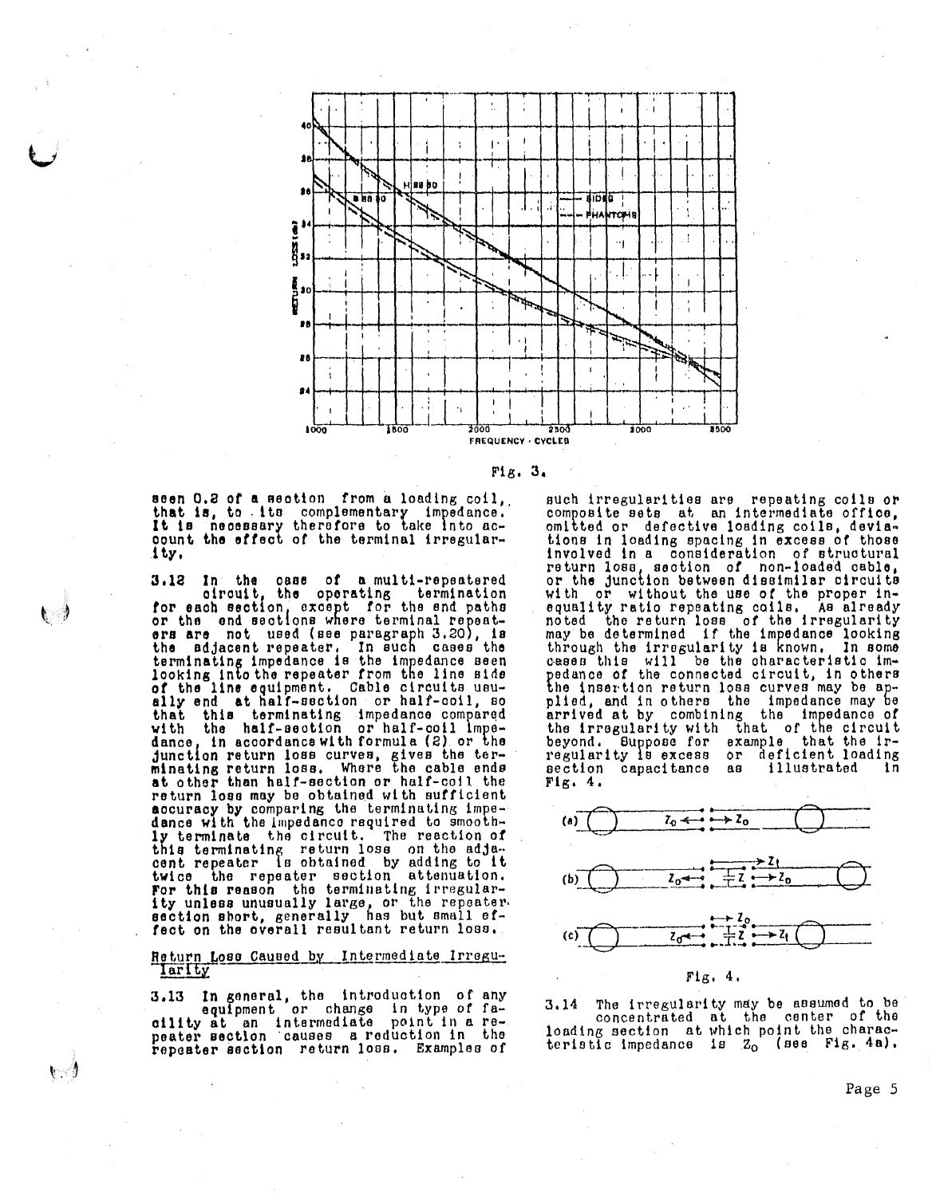



seen 0.2 of a section from a loading coil, that is, to its complementary impedance.<br>It is necessary therefore to take into account the effect of the terminal irregularity.

In the case of a multi-repeatered 3.12 circuit, the operating termination for each section, except for the end paths<br>or the end sections where terminal repeat-<br>ers are not used (see paragraph 3.20), is the adjacent repeater. In such cases the terminating impedance is the impedance seen of the line equipment. Cable circuits usually end at half-section or half-coil, so that this terminating impedance compared<br>with the half-section or half-coil impedance, in accordance with formula (2) or the junction return loss curves, gives the ter-<br>minating return loss. Where the cable ends at other than half-section or half-coil the return loss may be obtained with sufficient accuracy by comparing the terminating impe-<br>dance with the impedance required to smoothly terminate the circuit. The reaction of this terminating return loss on the adja-<br>cent repeater is obtained by adding to it for the the repeater is detection attenuation.<br>For this reason the terminating irregular-<br>ity unless unusually large, or the repeater-<br>section short, generally has but small ef-<br>fect on the overall resultant return loss.

### Return Loss Caused by Intermediate Irregularity

In general, the introduction of any  $3.13$ equipment or change in type of fa-<br>eility at an intermediate point in a re-<br>peater section causes a reduction in the repeater asction return loss. Examples of

いっ

such irregularities are repeating coils or composite sets at an intermediate office, omitted or defective loading coils, deviations in loading spacing in excess of those involved in a consideration of structural return loss, section of non-loaded cable, or the junction between dissimilar circuits with or without the use of the proper inequality ratio repeating calls. As already<br>noted the return loss of the irregularity<br>may be determined if the impedance looking through the irregularity is known. In some<br>cases this will be the characteristic im-<br>pedance of the connected circuit, in others the insertion return loss curves may be applied, and in others the impedance may be<br>arrived at by combining the impedance of the irregularity with that of the circuit Buppose for example that the ir-<br>ty is excess or deficient loading beyond. regularity is excess section capacitance illustrated  $AA$ i n  $Fig. 4.$ 



The irregularity may be assumed to be  $3.14$ concentrated at the center of the loading section at which point the charac-<br>teristic impedance is  $Z_0$  (see Fig. 4a).

Page 5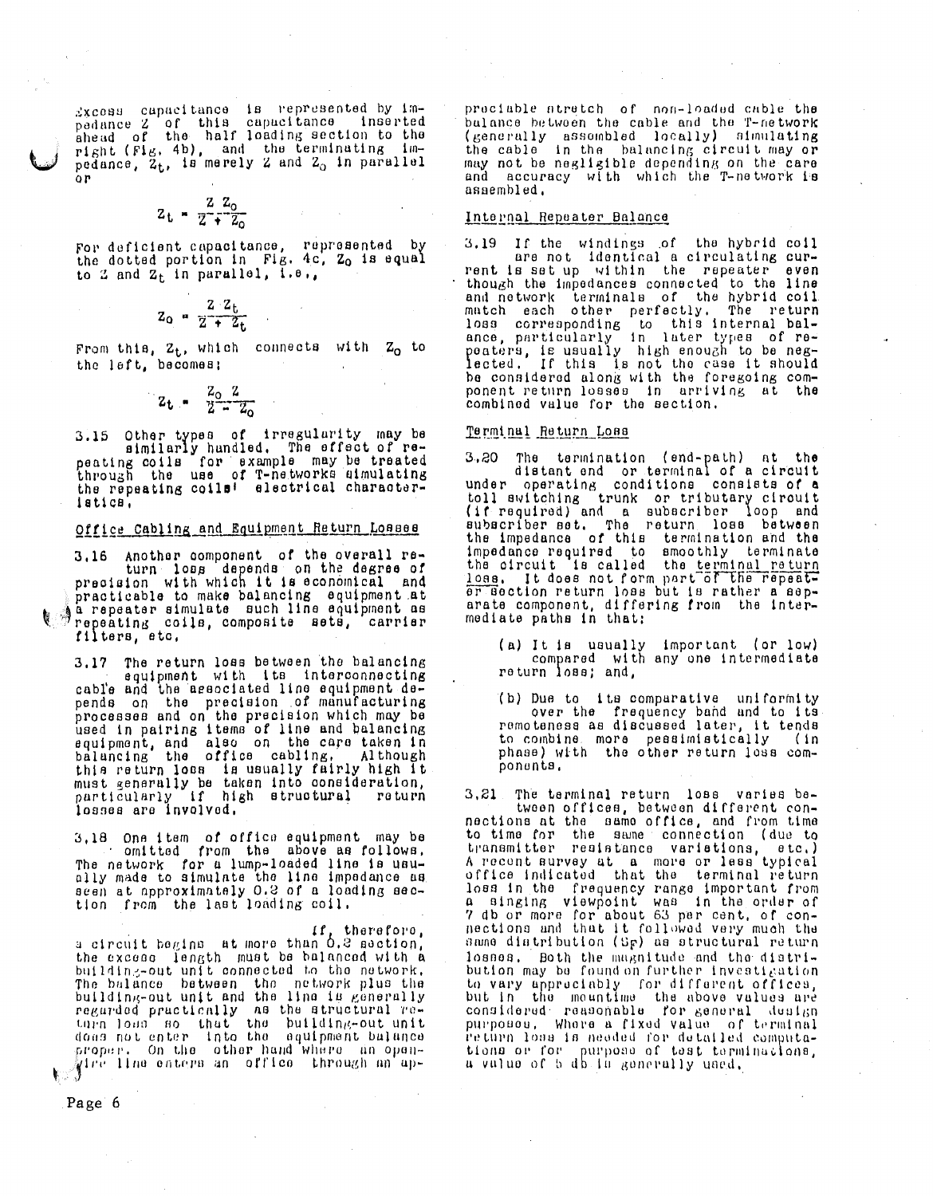Excess capacitance is represented by impedance 2 of this capacitance inserted<br>ahead of the half loading section to the inserted right (Fig. 4b), and the terminating impedance, 2t, is merely 2 and 2. in parallel .<br>O P

$$
z_{\rm t} = \frac{z}{z} + \frac{z_{\rm o}}{z_{\rm o}}
$$

For deficient capacitance, represented by<br>the dotted portion in Fig. 4c, Zo is equal to 2 and  $Z_t$  in parallel,  $\overline{1}.\overline{e}_t$ ,

$$
Z_0 = \frac{2 Z_L}{Z + Z_L}
$$

From this,  $z_t$ , which connects with  $z_0$  to the left, becomes:

$$
z_{t} = \frac{z_{0} z}{2 - z_{0}}
$$

3.15 Other types of irregularity may be<br>similarly handled. The effect of repeating coils for example may be treated<br>through the use of T-networks simulating the repeating coils! electrical characterlatica.

# Office Cabling and Equipment Return Loases

3.16 Another component of the overall return loss depends on the degree of<br>precision with which it is economical and practicable to make balancing equipment at a repeater simulate such line equipment as repeating coils, composite sets, carrier filters, etc,

3.17 The return loss between the balancing<br>equipment with its interconnecting cable and the associated line equipment depends on the precision of manufacturing<br>processes and on the precision which may be<br>used in pairing items of line and balancing<br>equipment and black and balancing equipment, and also on the care taken in<br>balancing the office cabling, Although this return loss is usually fairly high it must generally be taken into consideration, particularly if high structural<br>losses are involved. roturn

3.18 One item of office equipment may be<br>comitted from the above as follows.<br>The network for a lump-loaded line is usually made to simulate the line impedance as seen at approximately 0.2 of a loading sec-<br>tion from the last loading coil.

a circuit begins, at more than 0.2 aection, the excess length must be balanced with a building-out unit connected to the network, The balance between the network plus the building-out unit and the line is generally regarded practically as the structural re-<br>turn loan so that the building-out unit<br>does not enter into the equipment bulance proper. On the other hand where an opengire line enters an office through an ap-

praciable atratch of non-loaded cable the bulance between the cable and the T-network (generally assembled locally) simulating<br>the cable in the balancing circuit may or<br>may not be negligible depending on the care and accuracy with which the T-network is assembled,

### Internal Repeater Balance

3.19 If the windings of the hybrid coil<br>ne not identical a circulating current is set up within the repeater even though the impedances connected to the line chough the impouances connected to the 11ne<br>and network terminals of the hybrid coil<br>match each other perfectly. The return<br>loss corresponding to this internal bal-<br>ance, particularly in later types of re-<br>peaters, is usua be considered along with the foregoing component return losses in arriving at the combined value for the section.

### Terminal Return Loss

The termination (end-path) at the<br>distant and or terminal of a circuit  $3,20$ under operating conditions consists of a toll switching trunk or tributary circuit carried) and a subscriber loop and<br>subscriber set. The return loss between<br>the impedance of this termination and the<br>impedance required to smoothly terminate<br>the circuit is called the <u>terminal return</u><br>loss. It does not fo er section return loss but is rather a separate component, differing from the intermediate paths in that:

- (a) It is usually important (or low)<br>compared with any one intermediate return loss; and,
- (b) Due to its comparative uniformity over the frequency band and to its to combine, more peasimistically  $(in)$ phase) with the other return loss components.

The terminal return loss varies be- $3, 21$ tween offices, between different connections at the same office, and from time<br>to time for the same connection (due to<br>transmitter resistance varietions, etc.) A recent survey at a more or less typical office indicated that the terminal return loss in the frequency range important from<br>a singing viewpoint was in the order of 7 db or more for about 63 per cent, of connections and that it followed very much the<br>same diatribution (Sp) as structural return losnes. Both the magnitude and the distribution may be found on further investigation to vary approciably for different offices,<br>but in the meantime the above values are<br>considered reasonable for general dusign purposos, Where a fixed value of terminal return loss is needed for detailed computations or for purpose of test terminacions, a value of b db in generally used,

Page 6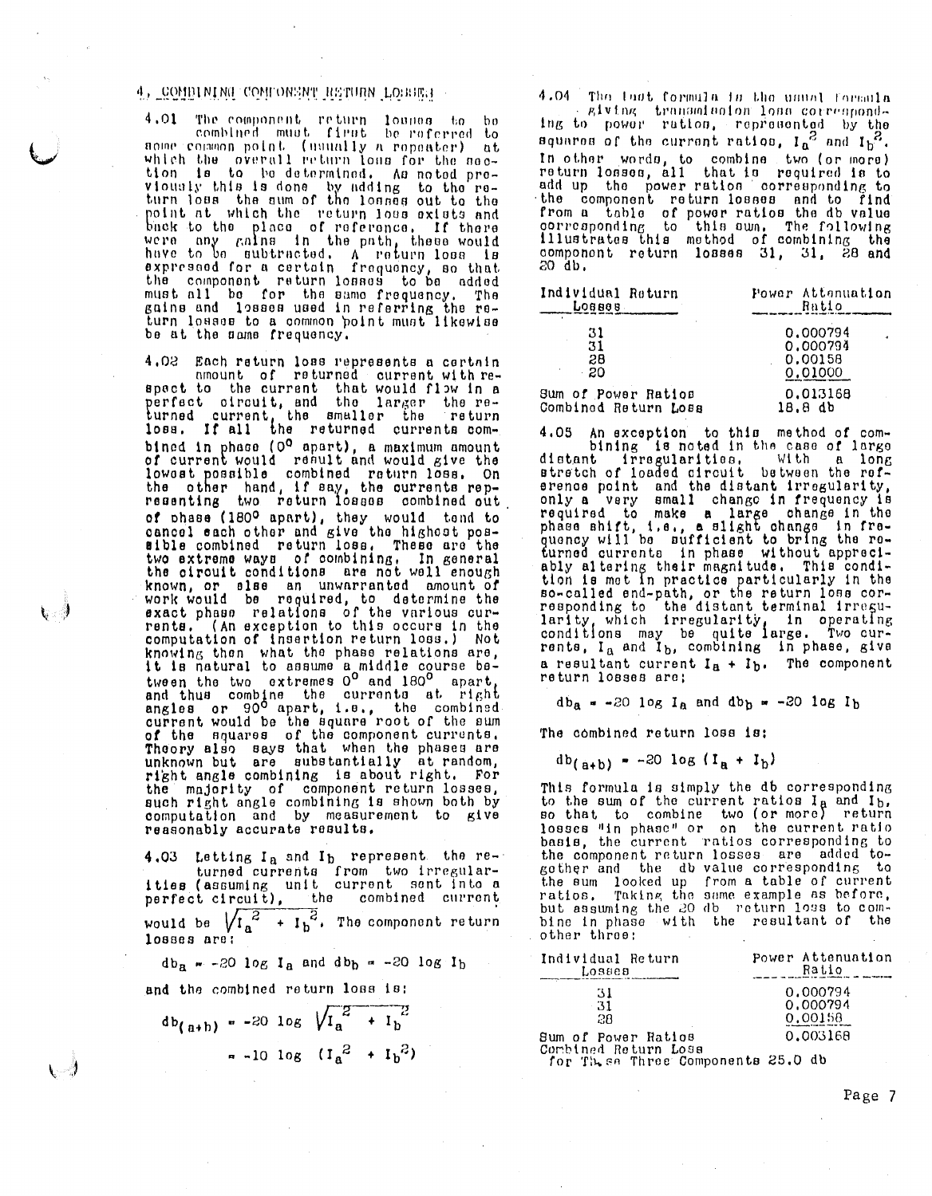## 4, COMBINING COMFONSNT RETURN LOBBER

4.01 The component return lounge to be<br>combined must first be referred to some commences point (usually a pointer of the second point of the second point of the second second which the overall return loss for the second pro-<br>viously this is done by adding to the re-<br>turn loss the sum of the loss turn loss the sum of the losses out to the<br>point at which the return loss exists and<br>back to the place of reference. If there<br>were any gains in the path, these would<br>have to be subtracted. A return loss is<br>expressed for a be at the name frequency.

4.02 Each return loss represents a certain<br>amount of returned current with respect to the current that would flow in a<br>perfect of rout, and the larger the re-<br>turned current, the smaller the return<br>loss. If all the returned currents combined in phase (0<sup>0</sup> apart), a maximum amount of current would result and would give the<br>lowest possible combined return loss. On<br>the other hand, if say, the currents rep-<br>resenting two return losses combined out of phase (180º apart), they would tond to cancel each other and give the highest possible combined return loss. These are the two extreme ways of combining. In general<br>the circuit conditions are not well enough known, or slae an unwarranted amount of<br>work would be required, to determine the<br>exact phase relations of the various cur-<br>rents. (An exception to this occurs in the computation of insertion return loss.) Not computation of the phase relations are,<br>it is natural to assume a middle course ba-<br>tween the two extremes  $0^0$  and  $180^0$  apart,<br>and thus combine the currents at right<br>angles or  $90^0$  apart, i.e., the combined-<br>curren Theory also says that when the phases are<br>unknown but are substantially at random, right angle combining is about right. For the majority of component return losses, such right angle combining is shown both by<br>computation and by measurement to give reasonably accurate results.

4.03 Letting I<sub>a</sub> and I<sub>b</sub> represent the re-<br>turned currents from two irregular-<br>ities (assuming unit current sent into a<br>perfect circuit), the combined current<br>would be  $\sqrt{I_a^2 + I_b^2}$ . The component return<br>losses are:

 $db_n = -20$  log I<sub>a</sub> and  $db_b = -20$  log I<sub>b</sub>

and the combined return loss is:

いっ

 $db_{(a+b)} = -20 \log \sqrt{I_a^2 + I_b^2}$  $-10 \log (I_a^2 + I_b^2)$ 

4.04 The last formula is the usual formula Elving transmission loss correspondsquares of the current ratios, I<sub>a</sub><sup>2</sup> and I<sub>b</sub><sup>2</sup>.<br>In other words, to combine two (or more)<br>return losses, all that is required is to add up the power ration corresponding to the component return losses and to find<br>from a table of power ratios the db value<br>corresponding to this awn. The following<br>illustrates this method of combining the component return losses 31, 31, 28 and 20 db.

| Individual Return    | Power Attenuation |
|----------------------|-------------------|
| Говвав               | Ratio             |
| 31                   | 0.000794          |
| 31                   | 0.000794          |
| 28                   | 0.00158           |
| - 20                 | 0.01000           |
| Sum of Power Ratios  | 0.013168          |
| Combined Return Loss | 18.8 db           |

4.05 An exception to this method of com-<br>hining is noted in the case of large<br>distant irregularities, with a long<br>stretch of loaded direct in the case of large<br>stretch of loaded distant irregularity,<br>only a very small cha a resultant current  $I<sub>A</sub> + I<sub>b</sub>$ . The component return losses are;

 $db_{\alpha} = -20$   $log I_{\alpha}$  and  $db_{\beta} = -20$   $log I_{\beta}$ 

The combined return loss is:

 $db_{(a+b)} = -20$   $log (I_a + I_b)$ 

This formula is simply the db corresponding<br>to the sum of the current ratios  $I_A$  and  $I_b$ ,<br>so that to combine two (or more) return<br>losses "in phase" or on the current ratio basis, the current ratios corresponding to the component return losses are added togother and the db value corresponding to the sum looked up from a table of current<br>ratios. Taking the same example as before. but assuming the 20 db return loss to combine in phase with the resultant of the other throe:

| Power Attenuation<br>Ratio                     |
|------------------------------------------------|
| 0.000794<br>0.000794<br>0.00158                |
| 0.003168<br>tor Thise Three Components 25.0 db |
|                                                |

Page 7